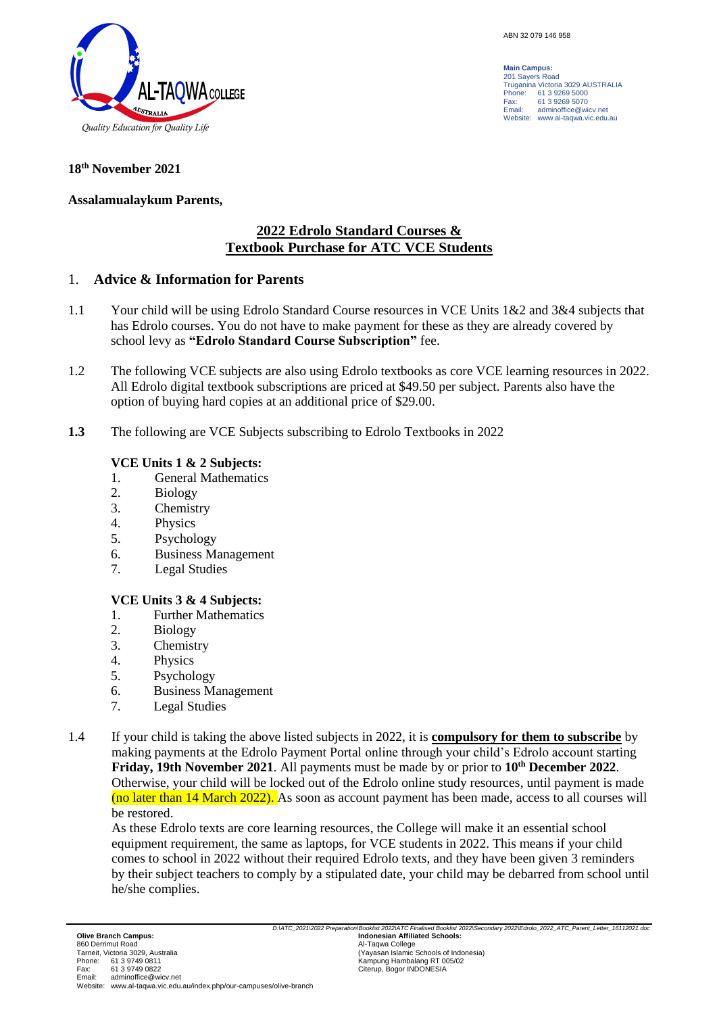

**Main Campus:** 201 Sayers Road Truganina Victoria 3029 AUSTRALIA Phone: 61 3 9269 5000<br>Fax: 61 3 9269 5070 Fax: 61 3 9269 5070<br>Email: adminoffice@wi adminoffice@wicv.net Website: www.al-taqwa.vic.edu.au

#### **18th November 2021**

#### **Assalamualaykum Parents,**

# **2022 Edrolo Standard Courses & Textbook Purchase for ATC VCE Students**

#### 1. **Advice & Information for Parents**

- 1.1 Your child will be using Edrolo Standard Course resources in VCE Units 1&2 and 3&4 subjects that has Edrolo courses. You do not have to make payment for these as they are already covered by school levy as **"Edrolo Standard Course Subscription"** fee.
- 1.2 The following VCE subjects are also using Edrolo textbooks as core VCE learning resources in 2022. All Edrolo digital textbook subscriptions are priced at \$49.50 per subject. Parents also have the option of buying hard copies at an additional price of \$29.00.
- **1.3** The following are VCE Subjects subscribing to Edrolo Textbooks in 2022

#### **VCE Units 1 & 2 Subjects:**

- 1. General Mathematics
- 2. Biology
- 3. Chemistry
- 4. Physics
- 5. Psychology
- 6. Business Management
- 7. Legal Studies

## **VCE Units 3 & 4 Subjects:**

- 1. Further Mathematics
- 2. Biology
- 3. Chemistry
- 4. Physics
- 5. Psychology
- 6. Business Management
- 7. Legal Studies
- 1.4 If your child is taking the above listed subjects in 2022, it is **compulsory for them to subscribe** by making payments at the Edrolo Payment Portal online through your child's Edrolo account starting **Friday, 19th November 2021**. All payments must be made by or prior to **10th December 2022**. Otherwise, your child will be locked out of the Edrolo online study resources, until payment is made (no later than 14 March 2022). As soon as account payment has been made, access to all courses will be restored.

As these Edrolo texts are core learning resources, the College will make it an essential school equipment requirement, the same as laptops, for VCE students in 2022. This means if your child comes to school in 2022 without their required Edrolo texts, and they have been given 3 reminders by their subject teachers to comply by a stipulated date, your child may be debarred from school until he/she complies.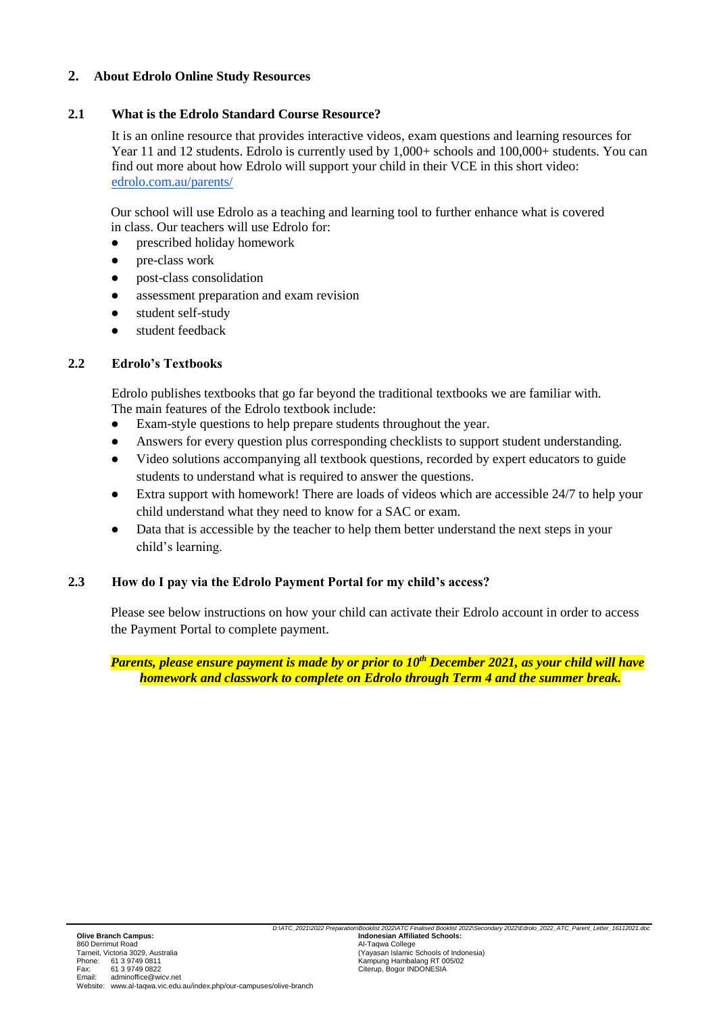## **2. About Edrolo Online Study Resources**

## **2.1 What is the Edrolo Standard Course Resource?**

It is an online resource that provides interactive videos, exam questions and learning resources for Year 11 and 12 students. Edrolo is currently used by 1,000+ schools and 100,000+ students. You can find out more about how Edrolo will support your child in their VCE in this short video[:](http://edrolo.com.au/parents/) [edrolo.com.au/parents/](http://edrolo.com.au/parents/)

Our school will use Edrolo as a teaching and learning tool to further enhance what is covered in class. Our teachers will use Edrolo for:

- prescribed holiday homework
- pre-class work
- post-class consolidation
- assessment preparation and exam revision
- student self-study
- student feedback

# **2.2 Edrolo's Textbooks**

Edrolo publishes textbooks that go far beyond the traditional textbooks we are familiar with. The main features of the Edrolo textbook include:

- Exam-style questions to help prepare students throughout the year.
- Answers for every question plus corresponding checklists to support student understanding.
- Video solutions accompanying all textbook questions, recorded by expert educators to guide students to understand what is required to answer the questions.
- Extra support with homework! There are loads of videos which are accessible 24/7 to help your child understand what they need to know for a SAC or exam.
- Data that is accessible by the teacher to help them better understand the next steps in your child's learning.

# **2.3 How do I pay via the Edrolo Payment Portal for my child's access?**

Please see below instructions on how your child can activate their Edrolo account in order to access the Payment Portal to complete payment.

*Parents, please ensure payment is made by or prior to 10th December 2021, as your child will have homework and classwork to complete on Edrolo through Term 4 and the summer break.*